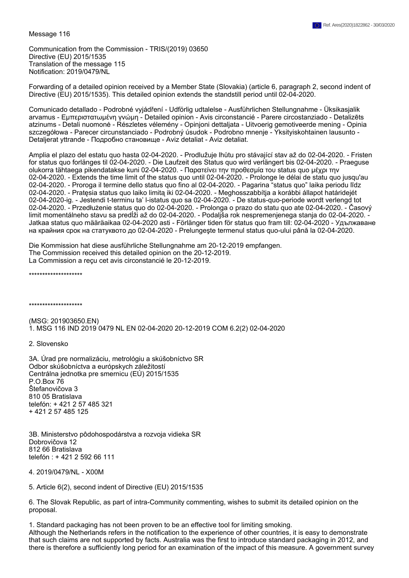Message 116

Communication from the Commission - TRIS/(2019) 03650 Directive (EU) 2015/1535 Translation of the message 115 Notification: 2019/0479/NL

Forwarding of a detailed opinion received by a Member State (Slovakia) (article 6, paragraph 2, second indent of Directive (EU) 2015/1535). This detailed opinion extends the standstill period until 02-04-2020.

Comunicado detallado - Podrobné vyjádření - Udförlig udtalelse - Ausführlichen Stellungnahme - Üksikasjalik arvamus - Εμπεριστατωμένη γνώμη - Detailed opinion - Avis circonstancié - Parere circostanziado - Detalizēts atzinums - Detali nuomonė - Részletes vélemény - Opinjoni dettaljata - Uitvoerig gemotiveerde mening - Opinia szczegółowa - Parecer circunstanciado - Podrobný úsudok - Podrobno mnenje - Yksityiskohtainen lausunto - Detaljerat yttrande - Подробно становище - Aviz detaliat - Aviz detaliat.

Amplia el plazo del estatu quo hasta 02-04-2020. - Prodlužuje lhůtu pro stávající stav až do 02-04-2020. - Fristen for status quo forlänges til 02-04-2020. - Die Laufzeit des Status quo wird verlängert bis 02-04-2020. - Praeguse olukorra tähtaega pikendatakse kuni 02-04-2020. - Παρατείνει την προθεσμία του status quo μέχρι την 02-04-2020. - Extends the time limit of the status quo until 02-04-2020. - Prolonge le délai de statu quo jusqu'au 02-04-2020. - Proroga il termine dello status quo fino al 02-04-2020. - Pagarina "status quo" laika periodu līdz 02-04-2020. - Pratęsia status quo laiko limitą iki 02-04-2020. - Meghosszabbítja a korábbi állapot határidejét 02-04-2020-ig. - Jestendi t-terminu ta' l-istatus quo sa 02-04-2020. - De status-quo-periode wordt verlengd tot 02-04-2020. - Przedłużenie status quo do 02-04-2020. - Prolonga o prazo do statu quo ate 02-04-2020. - Časový limit momentálneho stavu sa predĺži až do 02-04-2020. - Podaljša rok nespremenjenega stanja do 02-04-2020. - Jatkaa status quo määräaikaa 02-04-2020 asti - Förlänger tiden för status quo fram till: 02-04-2020 - Удължаване на крайния срок на статуквото до 02-04-2020 - Prelungeşte termenul status quo-ului până la 02-04-2020.

Die Kommission hat diese ausführliche Stellungnahme am 20-12-2019 empfangen. The Commission received this detailed opinion on the 20-12-2019. La Commission a reçu cet avis circonstancié le 20-12-2019.

\*\*\*\*\*\*\*\*\*\*\*\*\*\*\*\*\*\*\*\*

\*\*\*\*\*\*\*\*\*\*\*\*\*\*\*\*\*\*\*\*

(MSG: 201903650.EN) 1. MSG 116 IND 2019 0479 NL EN 02-04-2020 20-12-2019 COM 6.2(2) 02-04-2020

2. Slovensko

3A. Úrad pre normalizáciu, metrológiu a skúšobníctvo SR Odbor skúšobníctva a európskych záležitostí Centrálna jednotka pre smernicu (EÚ) 2015/1535 P.O.Box 76 Štefanovičova 3 810 05 Bratislava telefón: + 421 2 57 485 321 + 421 2 57 485 125

3B. Ministerstvo pôdohospodárstva a rozvoja vidieka SR Dobrovičova 12 812 66 Bratislava telefón : + 421 2 592 66 111

4. 2019/0479/NL - X00M

5. Article 6(2), second indent of Directive (EU) 2015/1535

6. The Slovak Republic, as part of intra-Community commenting, wishes to submit its detailed opinion on the proposal.

1. Standard packaging has not been proven to be an effective tool for limiting smoking. Although the Netherlands refers in the notification to the experience of other countries, it is easy to demonstrate that such claims are not supported by facts. Australia was the first to introduce standard packaging in 2012, and there is therefore a sufficiently long period for an examination of the impact of this measure. A government survey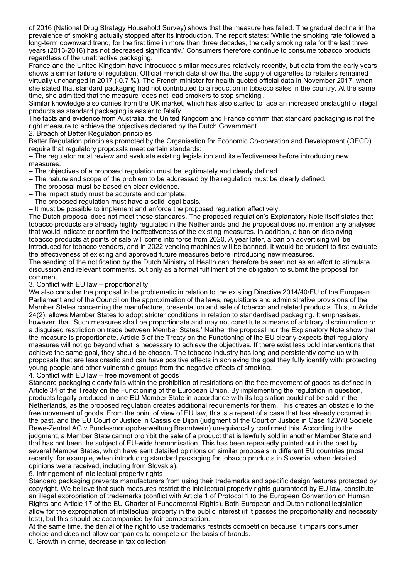of 2016 (National Drug Strategy Household Survey) shows that the measure has failed. The gradual decline in the prevalence of smoking actually stopped after its introduction. The report states: 'While the smoking rate followed a long-term downward trend, for the first time in more than three decades, the daily smoking rate for the last three years (2013-2016) has not decreased significantly.' Consumers therefore continue to consume tobacco products regardless of the unattractive packaging.

France and the United Kingdom have introduced similar measures relatively recently, but data from the early years shows a similar failure of regulation. Official French data show that the supply of cigarettes to retailers remained virtually unchanged in 2017 (-0.7 %). The French minister for health quoted official data in November 2017, when she stated that standard packaging had not contributed to a reduction in tobacco sales in the country. At the same time, she admitted that the measure 'does not lead smokers to stop smoking'.

Similar knowledge also comes from the UK market, which has also started to face an increased onslaught of illegal products as standard packaging is easier to falsify.

The facts and evidence from Australia, the United Kingdom and France confirm that standard packaging is not the right measure to achieve the objectives declared by the Dutch Government.

2. Breach of Better Regulation principles

Better Regulation principles promoted by the Organisation for Economic Co-operation and Development (OECD) require that regulatory proposals meet certain standards:

– The regulator must review and evaluate existing legislation and its effectiveness before introducing new measures.

– The objectives of a proposed regulation must be legitimately and clearly defined.

- The nature and scope of the problem to be addressed by the regulation must be clearly defined.
- The proposal must be based on clear evidence.
- The impact study must be accurate and complete.
- The proposed regulation must have a solid legal basis.

– It must be possible to implement and enforce the proposed regulation effectively.

The Dutch proposal does not meet these standards. The proposed regulation's Explanatory Note itself states that tobacco products are already highly regulated in the Netherlands and the proposal does not mention any analyses that would indicate or confirm the ineffectiveness of the existing measures. In addition, a ban on displaying tobacco products at points of sale will come into force from 2020. A year later, a ban on advertising will be introduced for tobacco vendors, and in 2022 vending machines will be banned. It would be prudent to first evaluate the effectiveness of existing and approved future measures before introducing new measures.

The sending of the notification by the Dutch Ministry of Health can therefore be seen not as an effort to stimulate discussion and relevant comments, but only as a formal fulfilment of the obligation to submit the proposal for comment.

## 3. Conflict with EU law – proportionality

We also consider the proposal to be problematic in relation to the existing Directive 2014/40/EU of the European Parliament and of the Council on the approximation of the laws, regulations and administrative provisions of the Member States concerning the manufacture, presentation and sale of tobacco and related products. This, in Article 24(2), allows Member States to adopt stricter conditions in relation to standardised packaging. It emphasises, however, that 'Such measures shall be proportionate and may not constitute a means of arbitrary discrimination or a disguised restriction on trade between Member States.' Neither the proposal nor the Explanatory Note show that the measure is proportionate. Article 5 of the Treaty on the Functioning of the EU clearly expects that regulatory measures will not go beyond what is necessary to achieve the objectives. If there exist less bold interventions that achieve the same goal, they should be chosen. The tobacco industry has long and persistently come up with proposals that are less drastic and can have positive effects in achieving the goal they fully identify with: protecting young people and other vulnerable groups from the negative effects of smoking.

## 4. Conflict with EU law – free movement of goods

Standard packaging clearly falls within the prohibition of restrictions on the free movement of goods as defined in Article 34 of the Treaty on the Functioning of the European Union. By implementing the regulation in question, products legally produced in one EU Member State in accordance with its legislation could not be sold in the Netherlands, as the proposed regulation creates additional requirements for them. This creates an obstacle to the free movement of goods. From the point of view of EU law, this is a repeat of a case that has already occurred in the past, and the EU Court of Justice in Cassis de Dijon (judgment of the Court of Justice in Case 120/78 Societe Rewe-Zentral AG v Bundesmonopolverwaltung Branntwein) unequivocally confirmed this. According to the judgment, a Member State cannot prohibit the sale of a product that is lawfully sold in another Member State and that has not been the subject of EU-wide harmonisation. This has been repeatedly pointed out in the past by several Member States, which have sent detailed opinions on similar proposals in different EU countries (most recently, for example, when introducing standard packaging for tobacco products in Slovenia, when detailed opinions were received, including from Slovakia).

5. Infringement of intellectual property rights

Standard packaging prevents manufacturers from using their trademarks and specific design features protected by copyright. We believe that such measures restrict the intellectual property rights guaranteed by EU law, constitute an illegal expropriation of trademarks (conflict with Article 1 of Protocol 1 to the European Convention on Human Rights and Article 17 of the EU Charter of Fundamental Rights). Both European and Dutch national legislation allow for the expropriation of intellectual property in the public interest (if it passes the proportionality and necessity test), but this should be accompanied by fair compensation.

At the same time, the denial of the right to use trademarks restricts competition because it impairs consumer choice and does not allow companies to compete on the basis of brands.

6. Growth in crime, decrease in tax collection